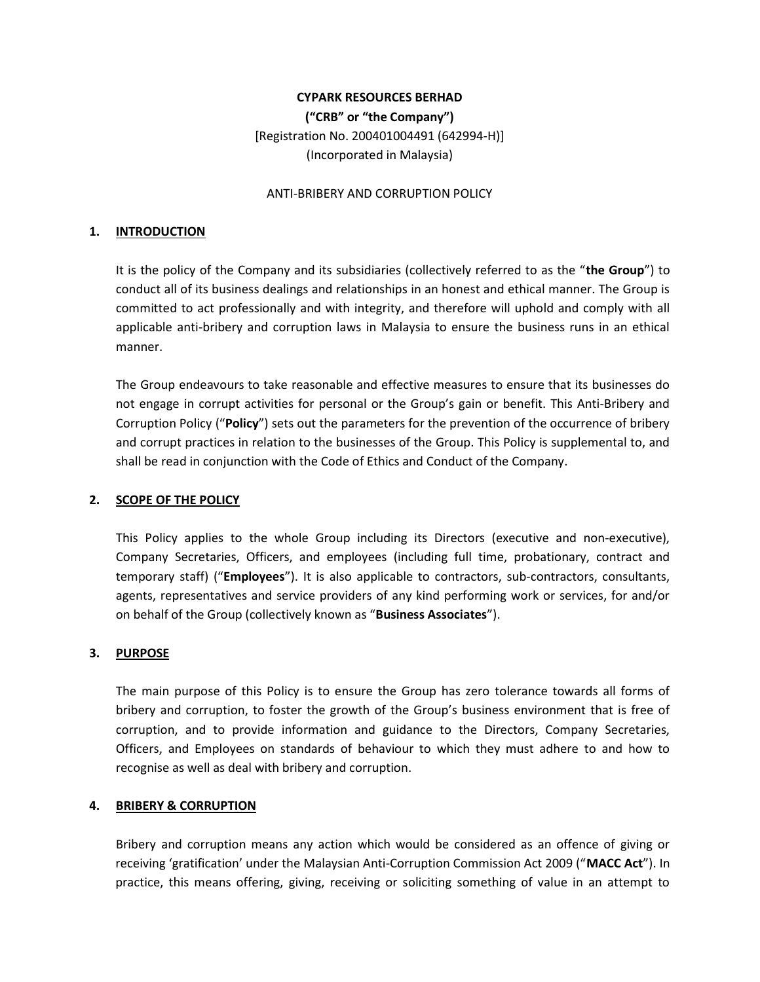# CYPARK RESOURCES BERHAD ("CRB" or "the Company") [Registration No. 200401004491 (642994-H)] (Incorporated in Malaysia)

#### ANTI-BRIBERY AND CORRUPTION POLICY

#### 1. INTRODUCTION

It is the policy of the Company and its subsidiaries (collectively referred to as the "the Group") to conduct all of its business dealings and relationships in an honest and ethical manner. The Group is committed to act professionally and with integrity, and therefore will uphold and comply with all applicable anti-bribery and corruption laws in Malaysia to ensure the business runs in an ethical manner.

The Group endeavours to take reasonable and effective measures to ensure that its businesses do not engage in corrupt activities for personal or the Group's gain or benefit. This Anti-Bribery and Corruption Policy ("Policy") sets out the parameters for the prevention of the occurrence of bribery and corrupt practices in relation to the businesses of the Group. This Policy is supplemental to, and shall be read in conjunction with the Code of Ethics and Conduct of the Company.

#### 2. SCOPE OF THE POLICY

 This Policy applies to the whole Group including its Directors (executive and non-executive), Company Secretaries, Officers, and employees (including full time, probationary, contract and temporary staff) ("Employees"). It is also applicable to contractors, sub-contractors, consultants, agents, representatives and service providers of any kind performing work or services, for and/or on behalf of the Group (collectively known as "Business Associates").

## 3. PURPOSE

 The main purpose of this Policy is to ensure the Group has zero tolerance towards all forms of bribery and corruption, to foster the growth of the Group's business environment that is free of corruption, and to provide information and guidance to the Directors, Company Secretaries, Officers, and Employees on standards of behaviour to which they must adhere to and how to recognise as well as deal with bribery and corruption.

#### 4. BRIBERY & CORRUPTION

Bribery and corruption means any action which would be considered as an offence of giving or receiving 'gratification' under the Malaysian Anti-Corruption Commission Act 2009 ("MACC Act"). In practice, this means offering, giving, receiving or soliciting something of value in an attempt to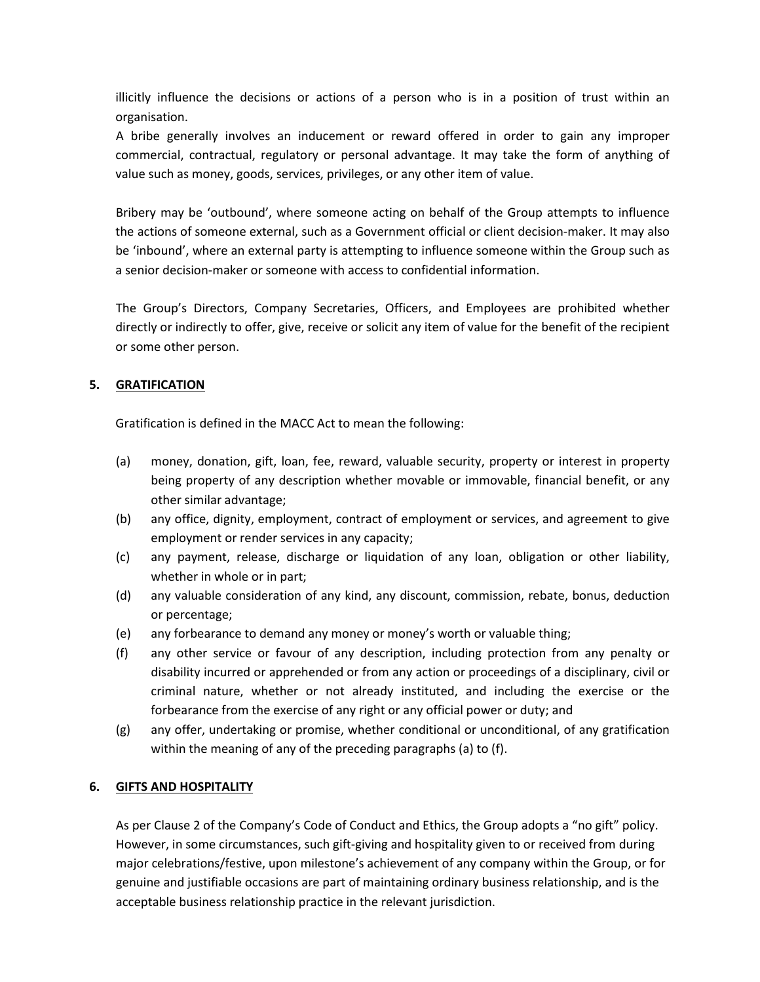illicitly influence the decisions or actions of a person who is in a position of trust within an organisation.

A bribe generally involves an inducement or reward offered in order to gain any improper commercial, contractual, regulatory or personal advantage. It may take the form of anything of value such as money, goods, services, privileges, or any other item of value.

Bribery may be 'outbound', where someone acting on behalf of the Group attempts to influence the actions of someone external, such as a Government official or client decision-maker. It may also be 'inbound', where an external party is attempting to influence someone within the Group such as a senior decision-maker or someone with access to confidential information.

The Group's Directors, Company Secretaries, Officers, and Employees are prohibited whether directly or indirectly to offer, give, receive or solicit any item of value for the benefit of the recipient or some other person.

# 5. GRATIFICATION

Gratification is defined in the MACC Act to mean the following:

- (a) money, donation, gift, loan, fee, reward, valuable security, property or interest in property being property of any description whether movable or immovable, financial benefit, or any other similar advantage;
- (b) any office, dignity, employment, contract of employment or services, and agreement to give employment or render services in any capacity;
- (c) any payment, release, discharge or liquidation of any loan, obligation or other liability, whether in whole or in part;
- (d) any valuable consideration of any kind, any discount, commission, rebate, bonus, deduction or percentage;
- (e) any forbearance to demand any money or money's worth or valuable thing;
- (f) any other service or favour of any description, including protection from any penalty or disability incurred or apprehended or from any action or proceedings of a disciplinary, civil or criminal nature, whether or not already instituted, and including the exercise or the forbearance from the exercise of any right or any official power or duty; and
- (g) any offer, undertaking or promise, whether conditional or unconditional, of any gratification within the meaning of any of the preceding paragraphs (a) to (f).

# 6. GIFTS AND HOSPITALITY

As per Clause 2 of the Company's Code of Conduct and Ethics, the Group adopts a "no gift" policy. However, in some circumstances, such gift-giving and hospitality given to or received from during major celebrations/festive, upon milestone's achievement of any company within the Group, or for genuine and justifiable occasions are part of maintaining ordinary business relationship, and is the acceptable business relationship practice in the relevant jurisdiction.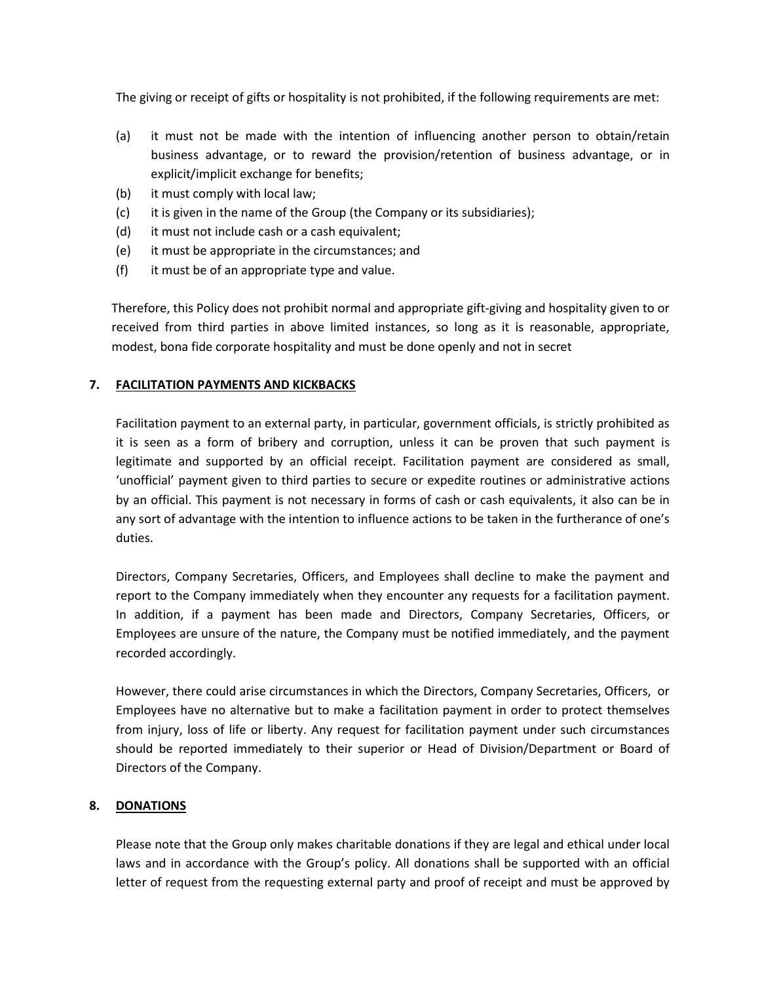The giving or receipt of gifts or hospitality is not prohibited, if the following requirements are met:

- (a) it must not be made with the intention of influencing another person to obtain/retain business advantage, or to reward the provision/retention of business advantage, or in explicit/implicit exchange for benefits;
- (b) it must comply with local law;
- (c) it is given in the name of the Group (the Company or its subsidiaries);
- (d) it must not include cash or a cash equivalent;
- (e) it must be appropriate in the circumstances; and
- (f) it must be of an appropriate type and value.

 Therefore, this Policy does not prohibit normal and appropriate gift-giving and hospitality given to or received from third parties in above limited instances, so long as it is reasonable, appropriate, modest, bona fide corporate hospitality and must be done openly and not in secret

# 7. FACILITATION PAYMENTS AND KICKBACKS

Facilitation payment to an external party, in particular, government officials, is strictly prohibited as it is seen as a form of bribery and corruption, unless it can be proven that such payment is legitimate and supported by an official receipt. Facilitation payment are considered as small, 'unofficial' payment given to third parties to secure or expedite routines or administrative actions by an official. This payment is not necessary in forms of cash or cash equivalents, it also can be in any sort of advantage with the intention to influence actions to be taken in the furtherance of one's duties.

Directors, Company Secretaries, Officers, and Employees shall decline to make the payment and report to the Company immediately when they encounter any requests for a facilitation payment. In addition, if a payment has been made and Directors, Company Secretaries, Officers, or Employees are unsure of the nature, the Company must be notified immediately, and the payment recorded accordingly.

However, there could arise circumstances in which the Directors, Company Secretaries, Officers, or Employees have no alternative but to make a facilitation payment in order to protect themselves from injury, loss of life or liberty. Any request for facilitation payment under such circumstances should be reported immediately to their superior or Head of Division/Department or Board of Directors of the Company.

## 8. DONATIONS

Please note that the Group only makes charitable donations if they are legal and ethical under local laws and in accordance with the Group's policy. All donations shall be supported with an official letter of request from the requesting external party and proof of receipt and must be approved by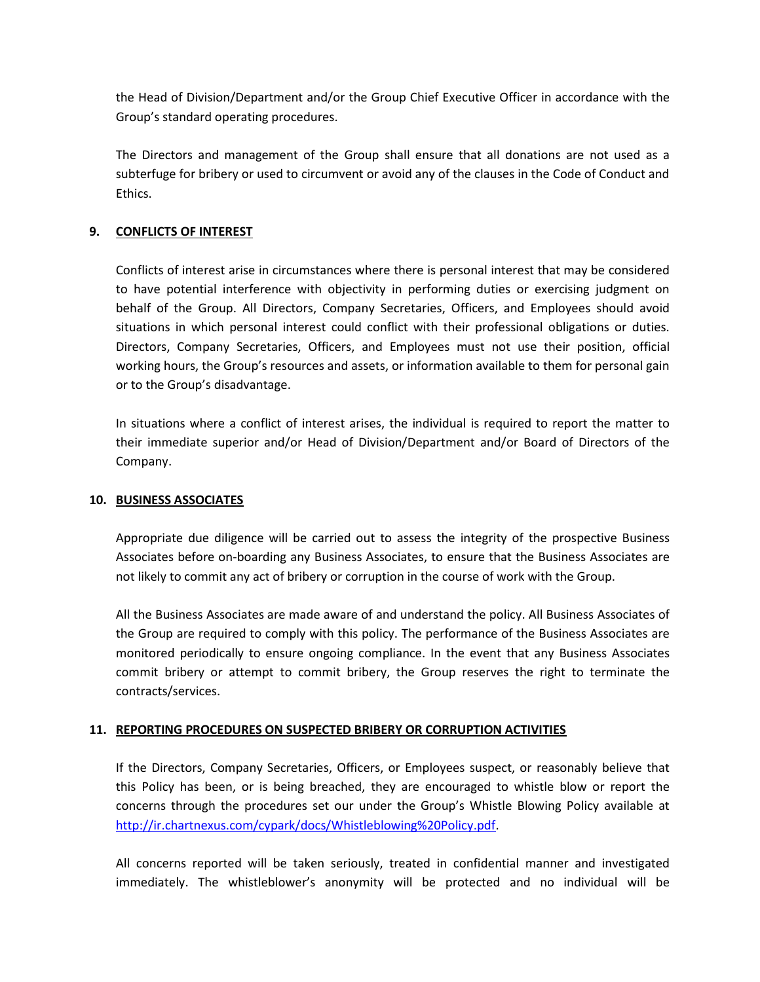the Head of Division/Department and/or the Group Chief Executive Officer in accordance with the Group's standard operating procedures.

The Directors and management of the Group shall ensure that all donations are not used as a subterfuge for bribery or used to circumvent or avoid any of the clauses in the Code of Conduct and Ethics.

# 9. CONFLICTS OF INTEREST

Conflicts of interest arise in circumstances where there is personal interest that may be considered to have potential interference with objectivity in performing duties or exercising judgment on behalf of the Group. All Directors, Company Secretaries, Officers, and Employees should avoid situations in which personal interest could conflict with their professional obligations or duties. Directors, Company Secretaries, Officers, and Employees must not use their position, official working hours, the Group's resources and assets, or information available to them for personal gain or to the Group's disadvantage.

In situations where a conflict of interest arises, the individual is required to report the matter to their immediate superior and/or Head of Division/Department and/or Board of Directors of the Company.

## 10. BUSINESS ASSOCIATES

Appropriate due diligence will be carried out to assess the integrity of the prospective Business Associates before on-boarding any Business Associates, to ensure that the Business Associates are not likely to commit any act of bribery or corruption in the course of work with the Group.

All the Business Associates are made aware of and understand the policy. All Business Associates of the Group are required to comply with this policy. The performance of the Business Associates are monitored periodically to ensure ongoing compliance. In the event that any Business Associates commit bribery or attempt to commit bribery, the Group reserves the right to terminate the contracts/services.

# 11. REPORTING PROCEDURES ON SUSPECTED BRIBERY OR CORRUPTION ACTIVITIES

If the Directors, Company Secretaries, Officers, or Employees suspect, or reasonably believe that this Policy has been, or is being breached, they are encouraged to whistle blow or report the concerns through the procedures set our under the Group's Whistle Blowing Policy available at http://ir.chartnexus.com/cypark/docs/Whistleblowing%20Policy.pdf.

All concerns reported will be taken seriously, treated in confidential manner and investigated immediately. The whistleblower's anonymity will be protected and no individual will be